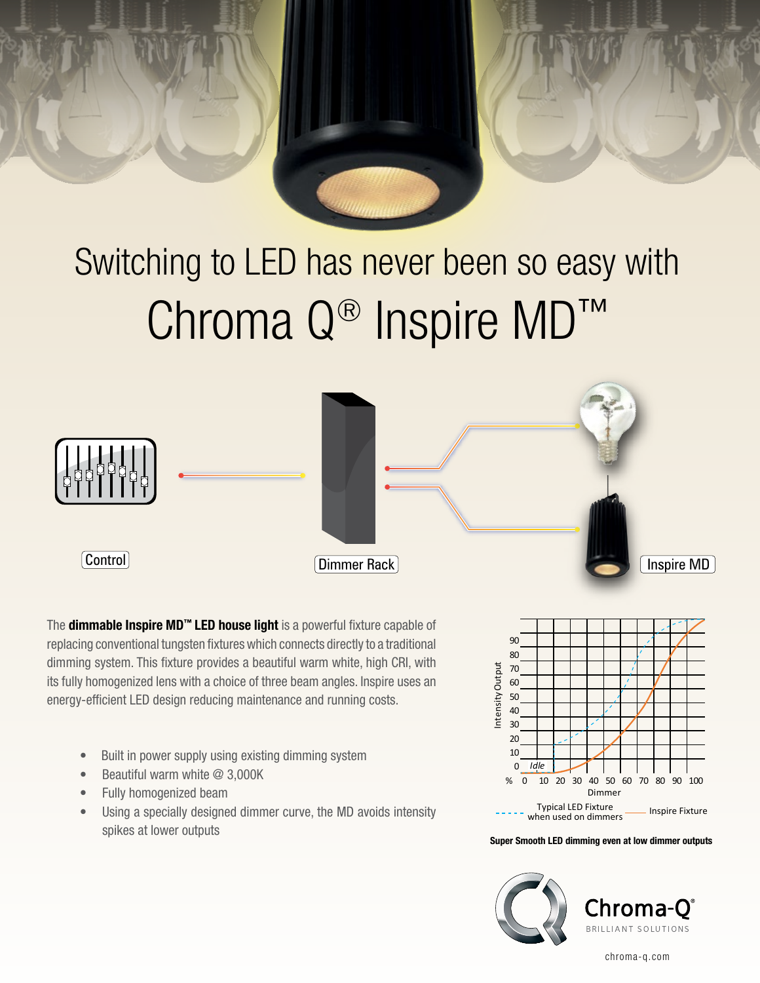# Switching to LED has never been so easy with Chroma Q® Inspire MD™ DIMMING



The **dimmable Inspire MD™ LED house light** is a powerful fixture capable of replacing conventional tungsten fixtures which connects directly to a traditional dimming system. This fixture provides a beautiful warm white, high CRI, with its fully homogenized lens with a choice of three beam angles. Inspire uses an energy-efficient LED design reducing maintenance and running costs.

- Built in power supply using existing dimming system
- Beautiful warm white @ 3,000K
- Fully homogenized beam
- Using a specially designed dimmer curve, the MD avoids intensity spikes at lower outputs



Super Smooth LED dimming even at low dimmer outputs